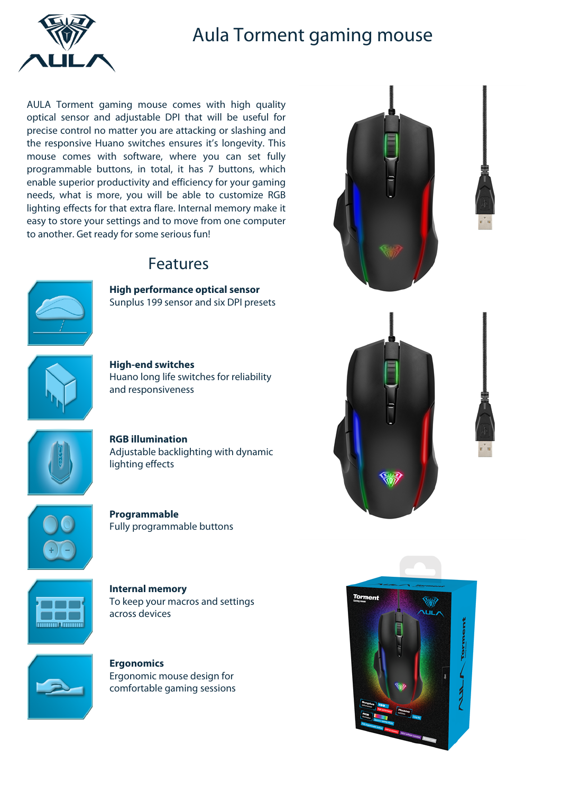

## Aula Torment gaming mouse

AULA Torment gaming mouse comes with high quality optical sensor and adjustable DPI that will be useful for precise control no matter you are attacking or slashing and the responsive Huano switches ensures it's longevity. This mouse comes with software, where you can set fully programmable buttons, in total, it has 7 buttons, which enable superior productivity and efficiency for your gaming needs, what is more, you will be able to customize RGB lighting effects for that extra flare. Internal memory make it easy to store your settings and to move from one computer to another. Get ready for some serious fun!

## Features



**High performance optical sensor** Sunplus 199 sensor and six DPI presets



**High-end switches** Huano long life switches for reliability and responsiveness



**RGB illumination** Adjustable backlighting with dynamic lighting effects



**Programmable** Fully programmable buttons



**Internal memory** To keep your macros and settings across devices



**Ergonomics** Ergonomic mouse design for comfortable gaming sessions







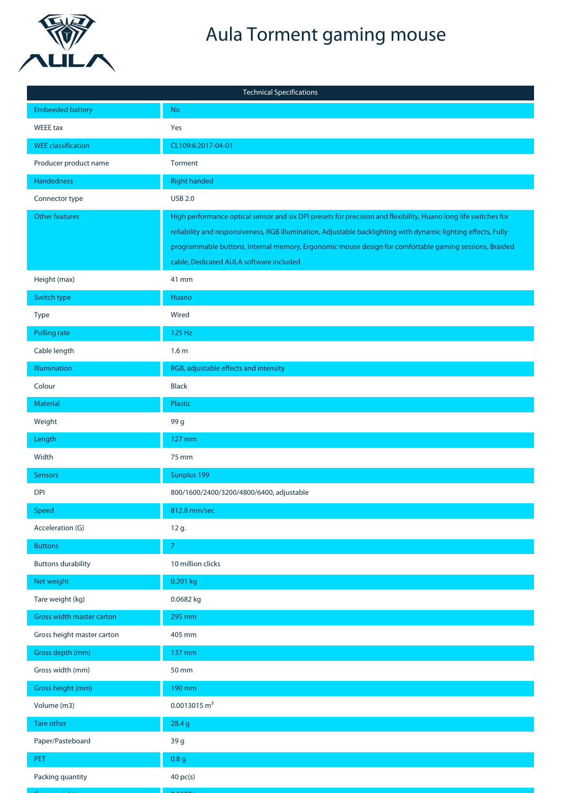

Gross weight 0.2692 kg Gross depth master carton Tare weight master carton Net weight master carton 525 mm 0.8 kg <sup>79</sup>

## Aula Torment gaming mouse

| <b>Technical Specifications</b>  |                                                                                                                                                                                                                                                                                                                                                                                        |  |  |
|----------------------------------|----------------------------------------------------------------------------------------------------------------------------------------------------------------------------------------------------------------------------------------------------------------------------------------------------------------------------------------------------------------------------------------|--|--|
| <b>Embeeded battery</b>          | <b>No</b>                                                                                                                                                                                                                                                                                                                                                                              |  |  |
| WEEE tax                         | Yes                                                                                                                                                                                                                                                                                                                                                                                    |  |  |
| <b>WEE</b> classification        | CL109:6:2017-04-01                                                                                                                                                                                                                                                                                                                                                                     |  |  |
| Producer product name            | Torment                                                                                                                                                                                                                                                                                                                                                                                |  |  |
| Handedness                       | <b>Right handed</b>                                                                                                                                                                                                                                                                                                                                                                    |  |  |
| Connector type                   | <b>USB 2.0</b>                                                                                                                                                                                                                                                                                                                                                                         |  |  |
| <b>Other features</b>            | High performance optical sensor and six DPI presets for precision and flexibility, Huano long life switches for<br>reliability and responsiveness, RGB illumination, Adjustable backlighting with dynamic lighting effects, Fully<br>programmable buttons, Internal memory, Ergonomic mouse design for comfortable gaming sessions, Braided<br>cable, Dedicated AULA software included |  |  |
| Height (max)                     | 41 mm                                                                                                                                                                                                                                                                                                                                                                                  |  |  |
| Switch type                      | Huano                                                                                                                                                                                                                                                                                                                                                                                  |  |  |
| Type                             | Wired                                                                                                                                                                                                                                                                                                                                                                                  |  |  |
| Polling rate                     | 125 Hz                                                                                                                                                                                                                                                                                                                                                                                 |  |  |
| Cable length                     | 1.6 <sub>m</sub>                                                                                                                                                                                                                                                                                                                                                                       |  |  |
| <b>Illumination</b>              | RGB, adjustable effects and intensity                                                                                                                                                                                                                                                                                                                                                  |  |  |
| Colour                           | <b>Black</b>                                                                                                                                                                                                                                                                                                                                                                           |  |  |
| <b>Material</b>                  | Plastic                                                                                                                                                                                                                                                                                                                                                                                |  |  |
| Weight                           | 99 g                                                                                                                                                                                                                                                                                                                                                                                   |  |  |
| Length                           | 127 mm                                                                                                                                                                                                                                                                                                                                                                                 |  |  |
| Width                            | 75 mm                                                                                                                                                                                                                                                                                                                                                                                  |  |  |
| <b>Sensors</b>                   | Sunplus 199                                                                                                                                                                                                                                                                                                                                                                            |  |  |
| <b>DPI</b>                       | 800/1600/2400/3200/4800/6400, adjustable                                                                                                                                                                                                                                                                                                                                               |  |  |
| Speed                            | 812.8 mm/sec                                                                                                                                                                                                                                                                                                                                                                           |  |  |
| Acceleration (G)                 | 12 g.                                                                                                                                                                                                                                                                                                                                                                                  |  |  |
| <b>Buttons</b>                   | $\overline{7}$                                                                                                                                                                                                                                                                                                                                                                         |  |  |
| <b>Buttons durability</b>        | 10 million clicks                                                                                                                                                                                                                                                                                                                                                                      |  |  |
| Net weight                       | 0.201 kg                                                                                                                                                                                                                                                                                                                                                                               |  |  |
| Tare weight (kg)                 | 0.0682 kg                                                                                                                                                                                                                                                                                                                                                                              |  |  |
| <b>Gross width master carton</b> | 295 mm                                                                                                                                                                                                                                                                                                                                                                                 |  |  |
| Gross height master carton       | 405 mm                                                                                                                                                                                                                                                                                                                                                                                 |  |  |
| Gross depth (mm)                 | 137 mm                                                                                                                                                                                                                                                                                                                                                                                 |  |  |
| Gross width (mm)                 | 50 mm                                                                                                                                                                                                                                                                                                                                                                                  |  |  |
| Gross height (mm)                | 190 mm                                                                                                                                                                                                                                                                                                                                                                                 |  |  |
| Volume (m3)                      | $0.0013015 \text{ m}^3$                                                                                                                                                                                                                                                                                                                                                                |  |  |
| <b>Tare other</b>                | 28.4 g                                                                                                                                                                                                                                                                                                                                                                                 |  |  |
| Paper/Pasteboard                 | 39 g                                                                                                                                                                                                                                                                                                                                                                                   |  |  |
| <b>PET</b>                       | 0.8 <sub>g</sub>                                                                                                                                                                                                                                                                                                                                                                       |  |  |
| Packing quantity                 | 40 pc(s)                                                                                                                                                                                                                                                                                                                                                                               |  |  |